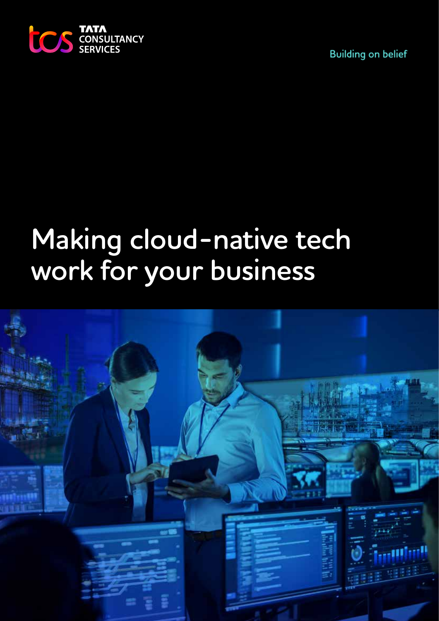

**Building on belief** 

# **Making cloud-native tech work for your business**

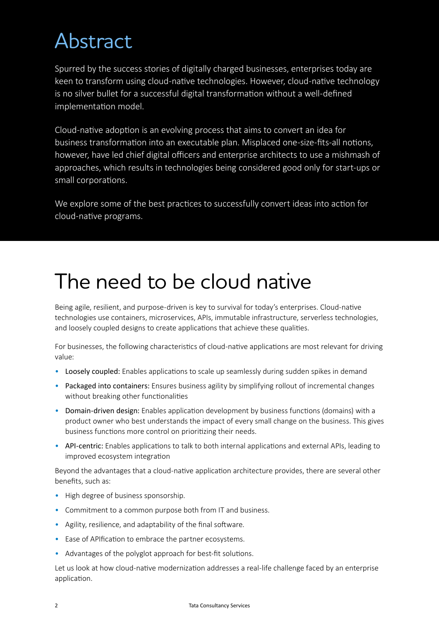# Abstract

Spurred by the success stories of digitally charged businesses, enterprises today are keen to transform using cloud-native technologies. However, cloud-native technology is no silver bullet for a successful digital transformation without a well-defined implementation model.

Cloud-native adoption is an evolving process that aims to convert an idea for business transformation into an executable plan. Misplaced one-size-fits-all notions, however, have led chief digital officers and enterprise architects to use a mishmash of approaches, which results in technologies being considered good only for start-ups or small corporations.

We explore some of the best practices to successfully convert ideas into action for cloud-native programs.

### The need to be cloud native

Being agile, resilient, and purpose-driven is key to survival for today's enterprises. Cloud-native technologies use containers, microservices, APIs, immutable infrastructure, serverless technologies, and loosely coupled designs to create applications that achieve these qualities.

For businesses, the following characteristics of cloud-native applications are most relevant for driving value:

- Loosely coupled: Enables applications to scale up seamlessly during sudden spikes in demand
- Packaged into containers: Ensures business agility by simplifying rollout of incremental changes without breaking other functionalities
- Domain-driven design: Enables application development by business functions (domains) with a product owner who best understands the impact of every small change on the business. This gives business functions more control on prioritizing their needs.
- API-centric: Enables applications to talk to both internal applications and external APIs, leading to improved ecosystem integration

Beyond the advantages that a cloud-native application architecture provides, there are several other benefits, such as:

- High degree of business sponsorship.
- Commitment to a common purpose both from IT and business.
- Agility, resilience, and adaptability of the final software.
- Ease of APIfication to embrace the partner ecosystems.
- Advantages of the polyglot approach for best-fit solutions.

Let us look at how cloud-native modernization addresses a real-life challenge faced by an enterprise application.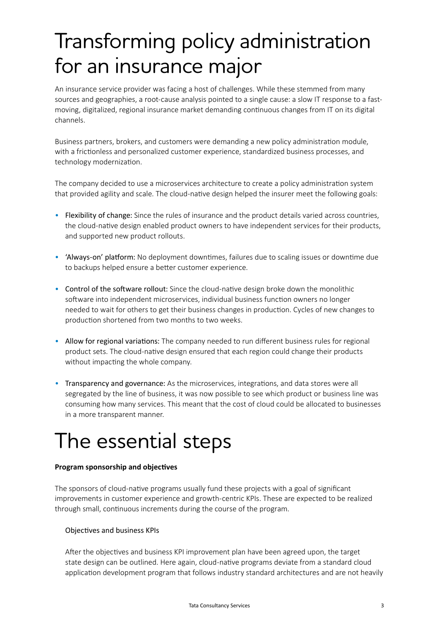# Transforming policy administration for an insurance major

An insurance service provider was facing a host of challenges. While these stemmed from many sources and geographies, a root-cause analysis pointed to a single cause: a slow IT response to a fastmoving, digitalized, regional insurance market demanding continuous changes from IT on its digital channels.

Business partners, brokers, and customers were demanding a new policy administration module, with a frictionless and personalized customer experience, standardized business processes, and technology modernization.

The company decided to use a microservices architecture to create a policy administration system that provided agility and scale. The cloud-native design helped the insurer meet the following goals:

- Flexibility of change: Since the rules of insurance and the product details varied across countries, the cloud-native design enabled product owners to have independent services for their products, and supported new product rollouts.
- 'Always-on' platform: No deployment downtimes, failures due to scaling issues or downtime due to backups helped ensure a better customer experience.
- Control of the software rollout: Since the cloud-native design broke down the monolithic software into independent microservices, individual business function owners no longer needed to wait for others to get their business changes in production. Cycles of new changes to production shortened from two months to two weeks.
- Allow for regional variations: The company needed to run different business rules for regional product sets. The cloud-native design ensured that each region could change their products without impacting the whole company.
- Transparency and governance: As the microservices, integrations, and data stores were all segregated by the line of business, it was now possible to see which product or business line was consuming how many services. This meant that the cost of cloud could be allocated to businesses in a more transparent manner.

# The essential steps

#### **Program sponsorship and objectives**

The sponsors of cloud-native programs usually fund these projects with a goal of significant improvements in customer experience and growth-centric KPIs. These are expected to be realized through small, continuous increments during the course of the program.

### Objectives and business KPIs

After the objectives and business KPI improvement plan have been agreed upon, the target state design can be outlined. Here again, cloud-native programs deviate from a standard cloud application development program that follows industry standard architectures and are not heavily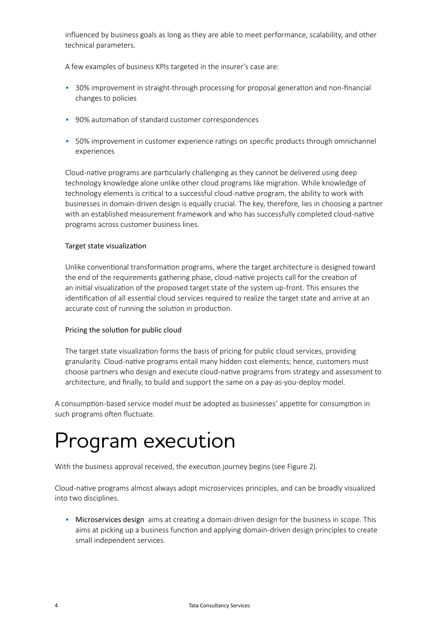influenced by business goals as long as they are able to meet performance, scalability, and other technical parameters.

A few examples of business KPIs targeted in the insurer's case are:

- 30% improvement in straight-through processing for proposal generation and non-financial changes to policies
- 90% automation of standard customer correspondences
- 50% improvement in customer experience ratings on specific products through omnichannel experiences

Cloud-native programs are particularly challenging as they cannot be delivered using deep technology knowledge alone unlike other cloud programs like migration. While knowledge of technology elements is critical to a successful cloud-native program, the ability to work with businesses in domain-driven design is equally crucial. The key, therefore, lies in choosing a partner with an established measurement framework and who has successfully completed cloud-native programs across customer business lines.

#### Target state visualization

Unlike conventional transformation programs, where the target architecture is designed toward the end of the requirements gathering phase, cloud-native projects call for the creation of an initial visualization of the proposed target state of the system up-front. This ensures the identification of all essential cloud services required to realize the target state and arrive at an accurate cost of running the solution in production.

#### Pricing the solution for public cloud

The target state visualization forms the basis of pricing for public cloud services, providing granularity. Cloud-native programs entail many hidden cost elements; hence, customers must choose partners who design and execute cloud-native programs from strategy and assessment to architecture, and finally, to build and support the same on a pay-as-you-deploy model.

A consumption-based service model must be adopted as businesses' appetite for consumption in such programs often fluctuate.

### Program execution

With the business approval received, the execution journey begins (see Figure 2).

Cloud-native programs almost always adopt microservices principles, and can be broadly visualized into two disciplines.

• Microservices design aims at creating a domain-driven design for the business in scope. This aims at picking up a business function and applying domain-driven design principles to create small independent services.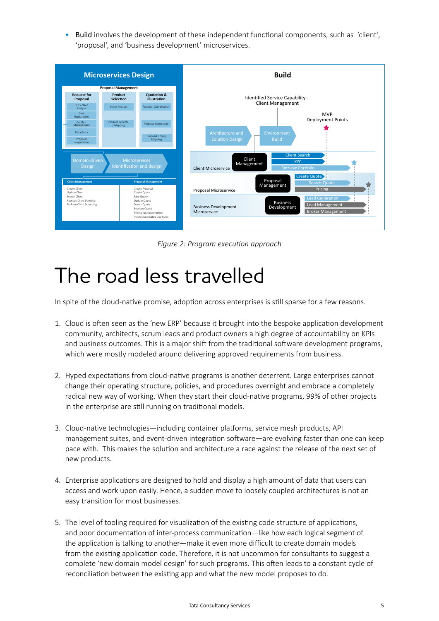• Build involves the development of these independent functional components, such as 'client', 'proposal', and 'business development' microservices.



*Figure 2: Program execution approach* 

### The road less travelled

In spite of the cloud-native promise, adoption across enterprises is still sparse for a few reasons.

- 1. Cloud is often seen as the 'new ERP' because it brought into the bespoke application development community, architects, scrum leads and product owners a high degree of accountability on KPIs and business outcomes. This is a major shift from the traditional software development programs, which were mostly modeled around delivering approved requirements from business.
- 2. Hyped expectations from cloud-native programs is another deterrent. Large enterprises cannot change their operating structure, policies, and procedures overnight and embrace a completely radical new way of working. When they start their cloud-native programs, 99% of other projects in the enterprise are still running on traditional models.
- 3. Cloud-native technologies—including container platforms, service mesh products, API management suites, and event-driven integration software—are evolving faster than one can keep pace with. This makes the solution and architecture a race against the release of the next set of new products.
- 4. Enterprise applications are designed to hold and display a high amount of data that users can access and work upon easily. Hence, a sudden move to loosely coupled architectures is not an easy transition for most businesses.
- 5. The level of tooling required for visualization of the existing code structure of applications, and poor documentation of inter-process communication—like how each logical segment of the application is talking to another—make it even more difficult to create domain models from the existing application code. Therefore, it is not uncommon for consultants to suggest a complete 'new domain model design' for such programs. This often leads to a constant cycle of reconciliation between the existing app and what the new model proposes to do.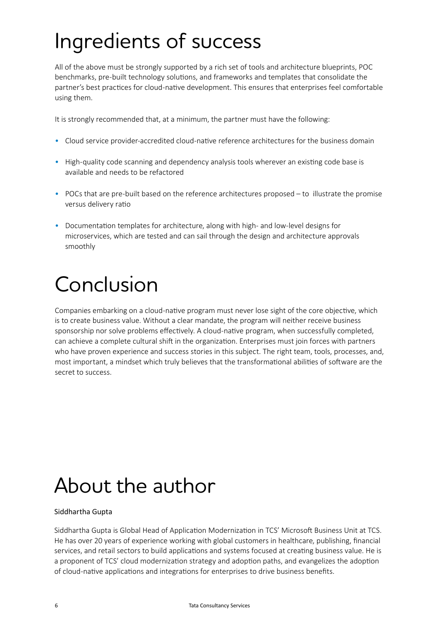# Ingredients of success

All of the above must be strongly supported by a rich set of tools and architecture blueprints, POC benchmarks, pre-built technology solutions, and frameworks and templates that consolidate the partner's best practices for cloud-native development. This ensures that enterprises feel comfortable using them.

It is strongly recommended that, at a minimum, the partner must have the following:

- Cloud service provider-accredited cloud-native reference architectures for the business domain
- High-quality code scanning and dependency analysis tools wherever an existing code base is available and needs to be refactored
- POCs that are pre-built based on the reference architectures proposed to illustrate the promise versus delivery ratio
- Documentation templates for architecture, along with high- and low-level designs for microservices, which are tested and can sail through the design and architecture approvals smoothly

# Conclusion

Companies embarking on a cloud-native program must never lose sight of the core objective, which is to create business value. Without a clear mandate, the program will neither receive business sponsorship nor solve problems effectively. A cloud-native program, when successfully completed, can achieve a complete cultural shift in the organization. Enterprises must join forces with partners who have proven experience and success stories in this subject. The right team, tools, processes, and, most important, a mindset which truly believes that the transformational abilities of software are the secret to success.

### About the author

### Siddhartha Gupta

Siddhartha Gupta is Global Head of Application Modernization in TCS' Microsoft Business Unit at TCS. He has over 20 years of experience working with global customers in healthcare, publishing, financial services, and retail sectors to build applications and systems focused at creating business value. He is a proponent of TCS' cloud modernization strategy and adoption paths, and evangelizes the adoption of cloud-native applications and integrations for enterprises to drive business benefits.